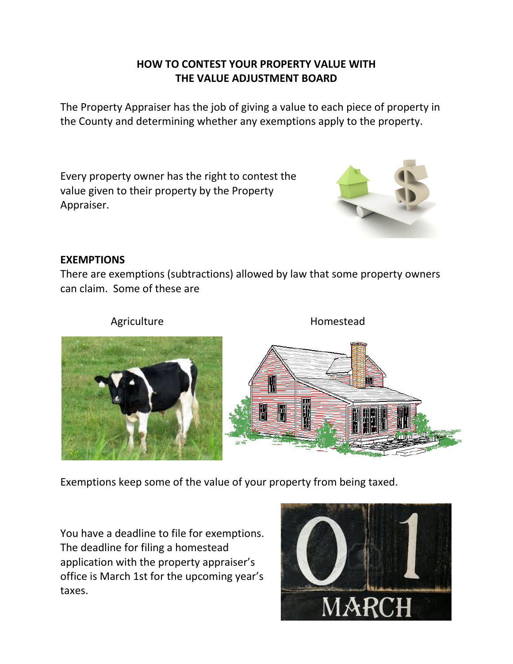# **HOW TO CONTEST YOUR PROPERTY VALUE WITH THE VALUE ADJUSTMENT BOARD**

The Property Appraiser has the job of giving a value to each piece of property in the County and determining whether any exemptions apply to the property.

Every property owner has the right to contest the value given to their property by the Property Appraiser.



## **EXEMPTIONS**

There are exemptions (subtractions) allowed by law that some property owners can claim. Some of these are



Exemptions keep some of the value of your property from being taxed.

You have a deadline to file for exemptions. The deadline for filing a homestead application with the property appraiser's office is March 1st for the upcoming year's taxes.

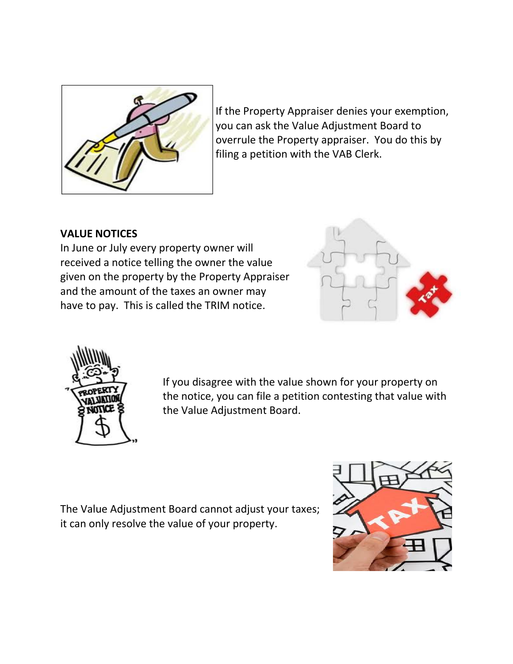

If the Property Appraiser denies your exemption, you can ask the Value Adjustment Board to overrule the Property appraiser. You do this by filing a petition with the VAB Clerk.

## **VALUE NOTICES**

In June or July every property owner will received a notice telling the owner the value given on the property by the Property Appraiser and the amount of the taxes an owner may have to pay. This is called the TRIM notice.





If you disagree with the value shown for your property on the notice, you can file a petition contesting that value with the Value Adjustment Board.

The Value Adjustment Board cannot adjust your taxes; it can only resolve the value of your property.

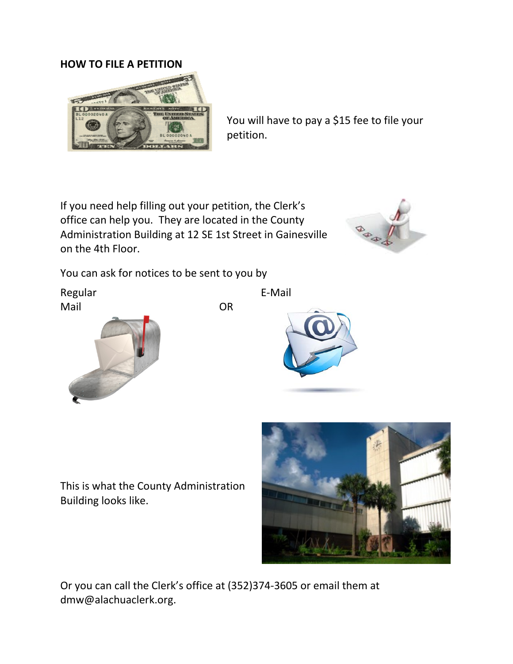#### **HOW TO FILE A PETITION**



You will have to pay a \$15 fee to file your petition.

If you need help filling out your petition, the Clerk's office can help you. They are located in the County Administration Building at 12 SE 1st Street in Gainesville on the 4th Floor.



You can ask for notices to be sent to you by

Regular Mail OR







This is what the County Administration Building looks like.



Or you can call the Clerk's office at (352)374-3605 or email them at dmw@alachuaclerk.org.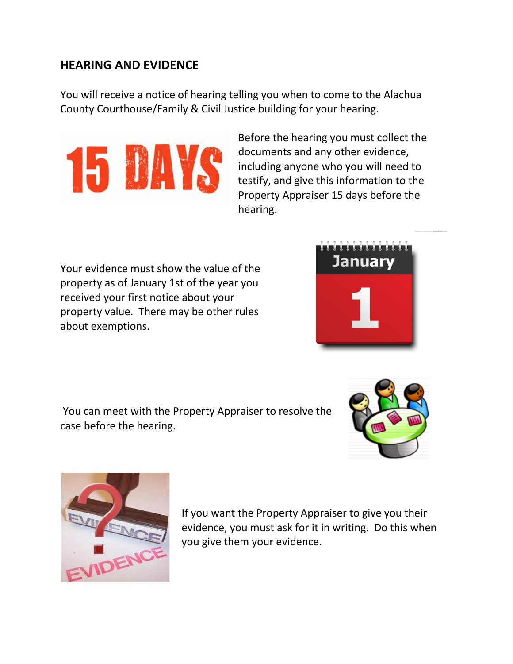# **HEARING AND EVIDENCE**

You will receive a notice of hearing telling you when to come to the Alachua County Courthouse/Family & Civil Justice building for your hearing.



Before the hearing you must collect the documents and any other evidence, including anyone who you will need to testify, and give this information to the Property Appraiser 15 days before the hearing.

Your evidence must show the value of the property as of January 1st of the year you received your first notice about your property value. There may be other rules about exemptions.



You can meet with the Property Appraiser to resolve the case before the hearing.





If you want the Property Appraiser to give you their evidence, you must ask for it in writing. Do this when you give them your evidence.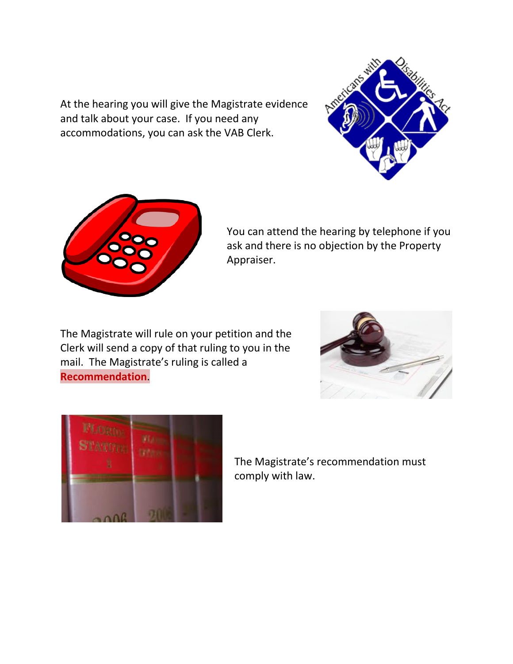At the hearing you will give the Magistrate evidence and talk about your case. If you need any accommodations, you can ask the VAB Clerk.





You can attend the hearing by telephone if you ask and there is no objection by the Property Appraiser.

The Magistrate will rule on your petition and the Clerk will send a copy of that ruling to you in the mail. The Magistrate's ruling is called a **Recommendation**.





The Magistrate's recommendation must comply with law.